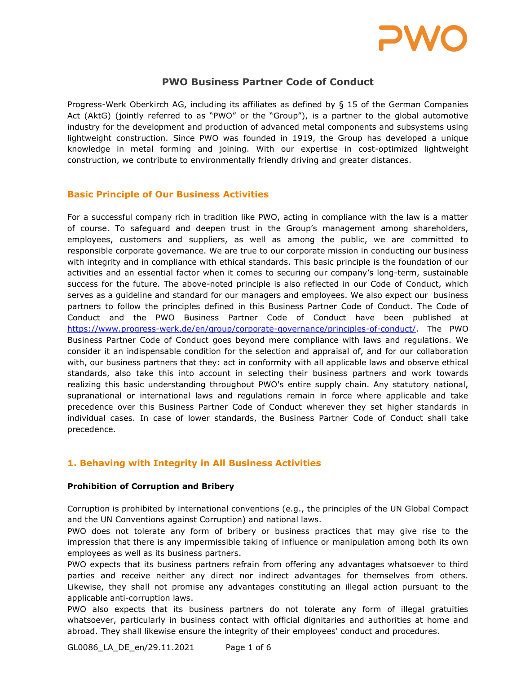

# PWO Business Partner Code of Conduct

Progress-Werk Oberkirch AG, including its affiliates as defined by § 15 of the German Companies Act (AktG) (jointly referred to as "PWO" or the "Group"), is a partner to the global automotive industry for the development and production of advanced metal components and subsystems using lightweight construction. Since PWO was founded in 1919, the Group has developed a unique knowledge in metal forming and joining. With our expertise in cost-optimized lightweight construction, we contribute to environmentally friendly driving and greater distances.

### Basic Principle of Our Business Activities

For a successful company rich in tradition like PWO, acting in compliance with the law is a matter of course. To safeguard and deepen trust in the Group's management among shareholders, employees, customers and suppliers, as well as among the public, we are committed to responsible corporate governance. We are true to our corporate mission in conducting our business with integrity and in compliance with ethical standards. This basic principle is the foundation of our activities and an essential factor when it comes to securing our company's long-term, sustainable success for the future. The above-noted principle is also reflected in our Code of Conduct, which serves as a guideline and standard for our managers and employees. We also expect our business partners to follow the principles defined in this Business Partner Code of Conduct. The Code of Conduct and the PWO Business Partner Code of Conduct have been published at https://www.progress-werk.de/en/group/corporate-governance/principles-of-conduct/. The PWO Business Partner Code of Conduct goes beyond mere compliance with laws and regulations. We consider it an indispensable condition for the selection and appraisal of, and for our collaboration with, our business partners that they: act in conformity with all applicable laws and observe ethical standards, also take this into account in selecting their business partners and work towards realizing this basic understanding throughout PWO's entire supply chain. Any statutory national, supranational or international laws and regulations remain in force where applicable and take precedence over this Business Partner Code of Conduct wherever they set higher standards in individual cases. In case of lower standards, the Business Partner Code of Conduct shall take precedence.

# 1. Behaving with Integrity in All Business Activities

#### Prohibition of Corruption and Bribery

Corruption is prohibited by international conventions (e.g., the principles of the UN Global Compact and the UN Conventions against Corruption) and national laws.

PWO does not tolerate any form of bribery or business practices that may give rise to the impression that there is any impermissible taking of influence or manipulation among both its own employees as well as its business partners.

PWO expects that its business partners refrain from offering any advantages whatsoever to third parties and receive neither any direct nor indirect advantages for themselves from others. Likewise, they shall not promise any advantages constituting an illegal action pursuant to the applicable anti-corruption laws.

PWO also expects that its business partners do not tolerate any form of illegal gratuities whatsoever, particularly in business contact with official dignitaries and authorities at home and abroad. They shall likewise ensure the integrity of their employees' conduct and procedures.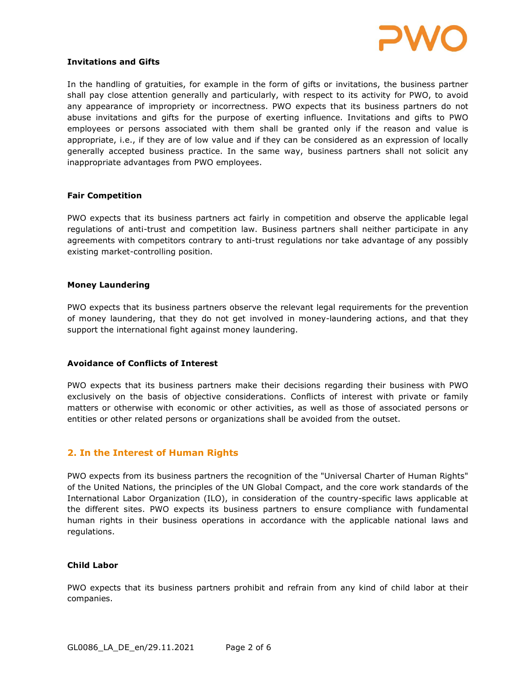

#### Invitations and Gifts

In the handling of gratuities, for example in the form of gifts or invitations, the business partner shall pay close attention generally and particularly, with respect to its activity for PWO, to avoid any appearance of impropriety or incorrectness. PWO expects that its business partners do not abuse invitations and gifts for the purpose of exerting influence. Invitations and gifts to PWO employees or persons associated with them shall be granted only if the reason and value is appropriate, i.e., if they are of low value and if they can be considered as an expression of locally generally accepted business practice. In the same way, business partners shall not solicit any inappropriate advantages from PWO employees.

#### Fair Competition

PWO expects that its business partners act fairly in competition and observe the applicable legal regulations of anti-trust and competition law. Business partners shall neither participate in any agreements with competitors contrary to anti-trust regulations nor take advantage of any possibly existing market-controlling position.

#### Money Laundering

PWO expects that its business partners observe the relevant legal requirements for the prevention of money laundering, that they do not get involved in money-laundering actions, and that they support the international fight against money laundering.

#### Avoidance of Conflicts of Interest

PWO expects that its business partners make their decisions regarding their business with PWO exclusively on the basis of objective considerations. Conflicts of interest with private or family matters or otherwise with economic or other activities, as well as those of associated persons or entities or other related persons or organizations shall be avoided from the outset.

### 2. In the Interest of Human Rights

PWO expects from its business partners the recognition of the "Universal Charter of Human Rights" of the United Nations, the principles of the UN Global Compact, and the core work standards of the International Labor Organization (ILO), in consideration of the country-specific laws applicable at the different sites. PWO expects its business partners to ensure compliance with fundamental human rights in their business operations in accordance with the applicable national laws and regulations.

#### Child Labor

PWO expects that its business partners prohibit and refrain from any kind of child labor at their companies.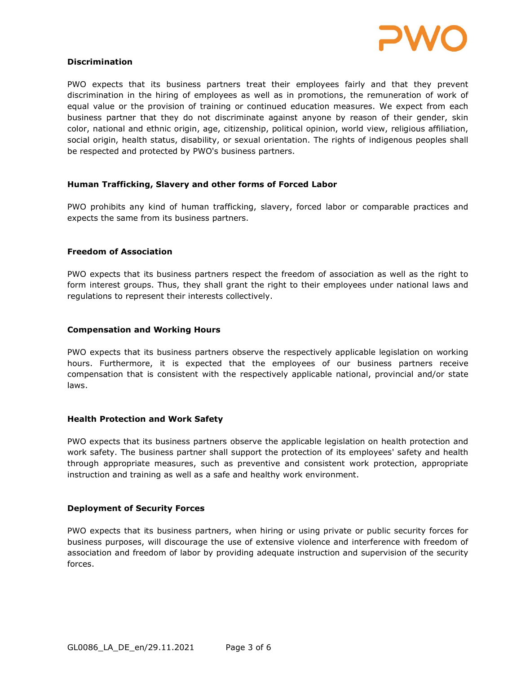

#### Discrimination

PWO expects that its business partners treat their employees fairly and that they prevent discrimination in the hiring of employees as well as in promotions, the remuneration of work of equal value or the provision of training or continued education measures. We expect from each business partner that they do not discriminate against anyone by reason of their gender, skin color, national and ethnic origin, age, citizenship, political opinion, world view, religious affiliation, social origin, health status, disability, or sexual orientation. The rights of indigenous peoples shall be respected and protected by PWO's business partners.

### Human Trafficking, Slavery and other forms of Forced Labor

PWO prohibits any kind of human trafficking, slavery, forced labor or comparable practices and expects the same from its business partners.

#### Freedom of Association

PWO expects that its business partners respect the freedom of association as well as the right to form interest groups. Thus, they shall grant the right to their employees under national laws and regulations to represent their interests collectively.

#### Compensation and Working Hours

PWO expects that its business partners observe the respectively applicable legislation on working hours. Furthermore, it is expected that the employees of our business partners receive compensation that is consistent with the respectively applicable national, provincial and/or state laws.

#### Health Protection and Work Safety

PWO expects that its business partners observe the applicable legislation on health protection and work safety. The business partner shall support the protection of its employees' safety and health through appropriate measures, such as preventive and consistent work protection, appropriate instruction and training as well as a safe and healthy work environment.

#### Deployment of Security Forces

PWO expects that its business partners, when hiring or using private or public security forces for business purposes, will discourage the use of extensive violence and interference with freedom of association and freedom of labor by providing adequate instruction and supervision of the security forces.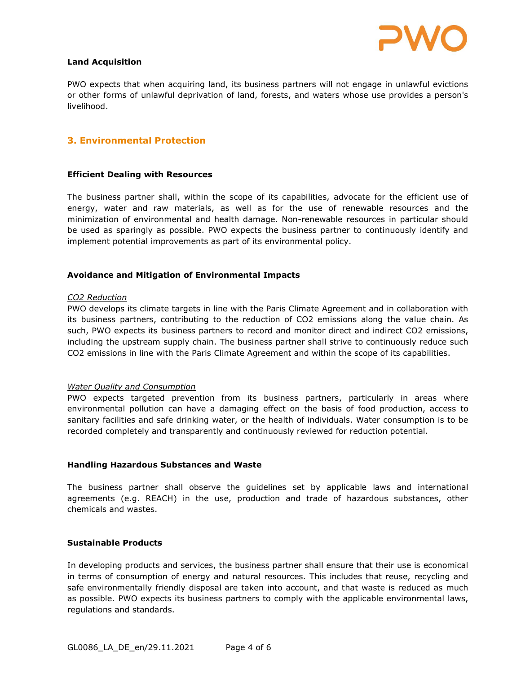

#### Land Acquisition

PWO expects that when acquiring land, its business partners will not engage in unlawful evictions or other forms of unlawful deprivation of land, forests, and waters whose use provides a person's livelihood.

### 3. Environmental Protection

#### Efficient Dealing with Resources

The business partner shall, within the scope of its capabilities, advocate for the efficient use of energy, water and raw materials, as well as for the use of renewable resources and the minimization of environmental and health damage. Non-renewable resources in particular should be used as sparingly as possible. PWO expects the business partner to continuously identify and implement potential improvements as part of its environmental policy.

#### Avoidance and Mitigation of Environmental Impacts

#### CO2 Reduction

PWO develops its climate targets in line with the Paris Climate Agreement and in collaboration with its business partners, contributing to the reduction of CO2 emissions along the value chain. As such, PWO expects its business partners to record and monitor direct and indirect CO2 emissions, including the upstream supply chain. The business partner shall strive to continuously reduce such CO2 emissions in line with the Paris Climate Agreement and within the scope of its capabilities.

#### Water Quality and Consumption

PWO expects targeted prevention from its business partners, particularly in areas where environmental pollution can have a damaging effect on the basis of food production, access to sanitary facilities and safe drinking water, or the health of individuals. Water consumption is to be recorded completely and transparently and continuously reviewed for reduction potential.

#### Handling Hazardous Substances and Waste

The business partner shall observe the guidelines set by applicable laws and international agreements (e.g. REACH) in the use, production and trade of hazardous substances, other chemicals and wastes.

#### Sustainable Products

In developing products and services, the business partner shall ensure that their use is economical in terms of consumption of energy and natural resources. This includes that reuse, recycling and safe environmentally friendly disposal are taken into account, and that waste is reduced as much as possible. PWO expects its business partners to comply with the applicable environmental laws, regulations and standards.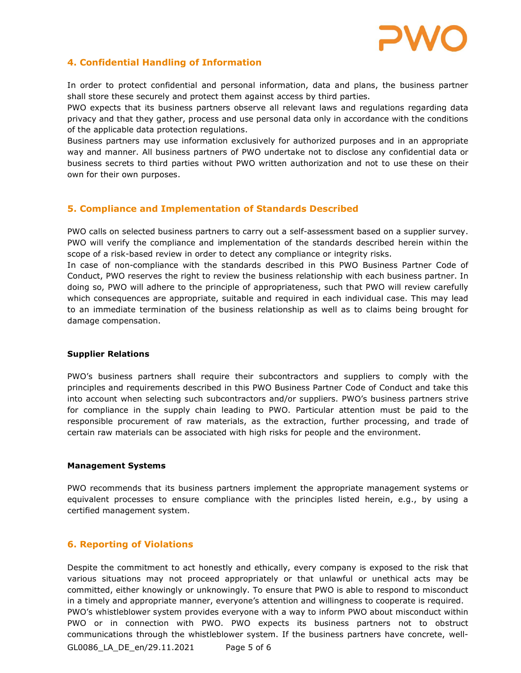

# 4. Confidential Handling of Information

In order to protect confidential and personal information, data and plans, the business partner shall store these securely and protect them against access by third parties.

PWO expects that its business partners observe all relevant laws and regulations regarding data privacy and that they gather, process and use personal data only in accordance with the conditions of the applicable data protection regulations.

Business partners may use information exclusively for authorized purposes and in an appropriate way and manner. All business partners of PWO undertake not to disclose any confidential data or business secrets to third parties without PWO written authorization and not to use these on their own for their own purposes.

## 5. Compliance and Implementation of Standards Described

PWO calls on selected business partners to carry out a self-assessment based on a supplier survey. PWO will verify the compliance and implementation of the standards described herein within the scope of a risk-based review in order to detect any compliance or integrity risks.

In case of non-compliance with the standards described in this PWO Business Partner Code of Conduct, PWO reserves the right to review the business relationship with each business partner. In doing so, PWO will adhere to the principle of appropriateness, such that PWO will review carefully which consequences are appropriate, suitable and required in each individual case. This may lead to an immediate termination of the business relationship as well as to claims being brought for damage compensation.

#### Supplier Relations

PWO's business partners shall require their subcontractors and suppliers to comply with the principles and requirements described in this PWO Business Partner Code of Conduct and take this into account when selecting such subcontractors and/or suppliers. PWO's business partners strive for compliance in the supply chain leading to PWO. Particular attention must be paid to the responsible procurement of raw materials, as the extraction, further processing, and trade of certain raw materials can be associated with high risks for people and the environment.

#### Management Systems

PWO recommends that its business partners implement the appropriate management systems or equivalent processes to ensure compliance with the principles listed herein, e.g., by using a certified management system.

### 6. Reporting of Violations

Despite the commitment to act honestly and ethically, every company is exposed to the risk that various situations may not proceed appropriately or that unlawful or unethical acts may be committed, either knowingly or unknowingly. To ensure that PWO is able to respond to misconduct in a timely and appropriate manner, everyone's attention and willingness to cooperate is required. PWO's whistleblower system provides everyone with a way to inform PWO about misconduct within PWO or in connection with PWO. PWO expects its business partners not to obstruct communications through the whistleblower system. If the business partners have concrete, well-

GL0086\_LA\_DE\_en/29.11.2021 Page 5 of 6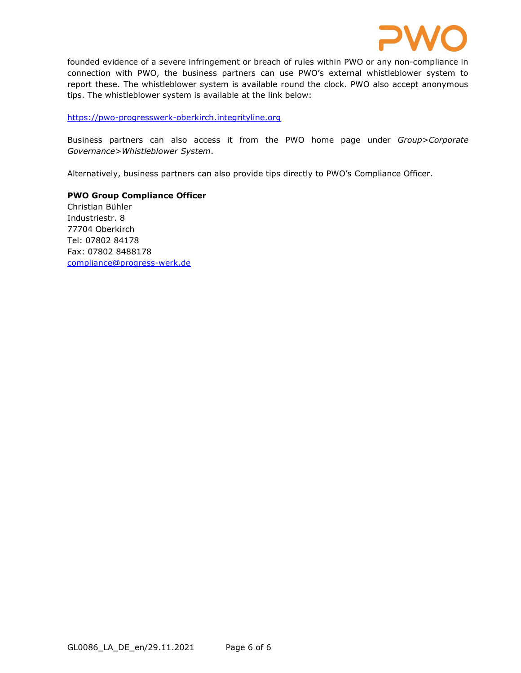

founded evidence of a severe infringement or breach of rules within PWO or any non-compliance in connection with PWO, the business partners can use PWO's external whistleblower system to report these. The whistleblower system is available round the clock. PWO also accept anonymous tips. The whistleblower system is available at the link below:

https://pwo-progresswerk-oberkirch.integrityline.org

Business partners can also access it from the PWO home page under Group>Corporate Governance>Whistleblower System.

Alternatively, business partners can also provide tips directly to PWO's Compliance Officer.

PWO Group Compliance Officer Christian Bühler Industriestr. 8 77704 Oberkirch Tel: 07802 84178 Fax: 07802 8488178 compliance@progress-werk.de